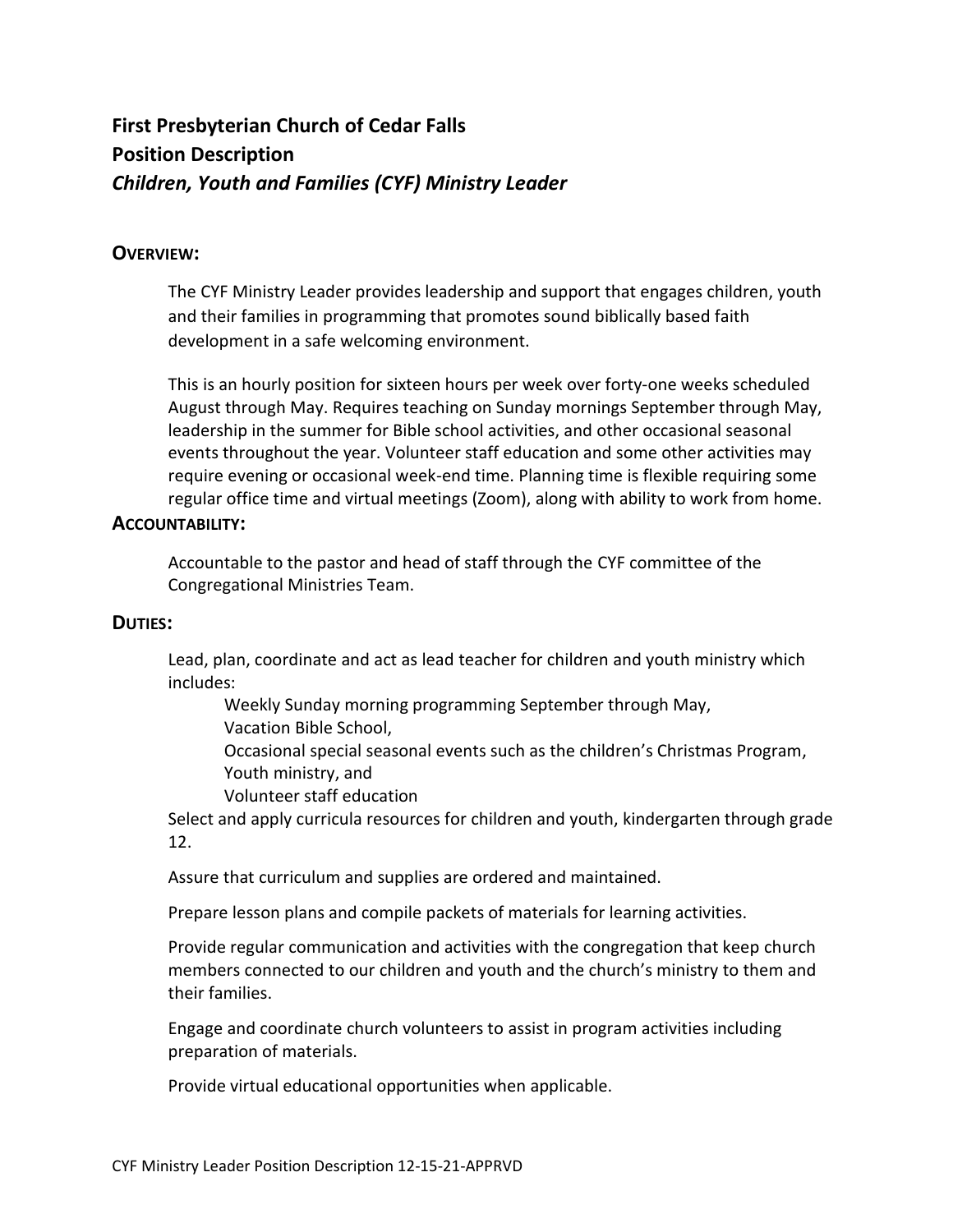# **First Presbyterian Church of Cedar Falls Position Description** *Children, Youth and Families (CYF) Ministry Leader*

# **OVERVIEW:**

The CYF Ministry Leader provides leadership and support that engages children, youth and their families in programming that promotes sound biblically based faith development in a safe welcoming environment.

This is an hourly position for sixteen hours per week over forty-one weeks scheduled August through May. Requires teaching on Sunday mornings September through May, leadership in the summer for Bible school activities, and other occasional seasonal events throughout the year. Volunteer staff education and some other activities may require evening or occasional week-end time. Planning time is flexible requiring some regular office time and virtual meetings (Zoom), along with ability to work from home.

## **ACCOUNTABILITY:**

Accountable to the pastor and head of staff through the CYF committee of the Congregational Ministries Team.

## **DUTIES:**

Lead, plan, coordinate and act as lead teacher for children and youth ministry which includes:

Weekly Sunday morning programming September through May, Vacation Bible School,

Occasional special seasonal events such as the children's Christmas Program, Youth ministry, and

Volunteer staff education

Select and apply curricula resources for children and youth, kindergarten through grade 12.

Assure that curriculum and supplies are ordered and maintained.

Prepare lesson plans and compile packets of materials for learning activities.

Provide regular communication and activities with the congregation that keep church members connected to our children and youth and the church's ministry to them and their families.

Engage and coordinate church volunteers to assist in program activities including preparation of materials.

Provide virtual educational opportunities when applicable.